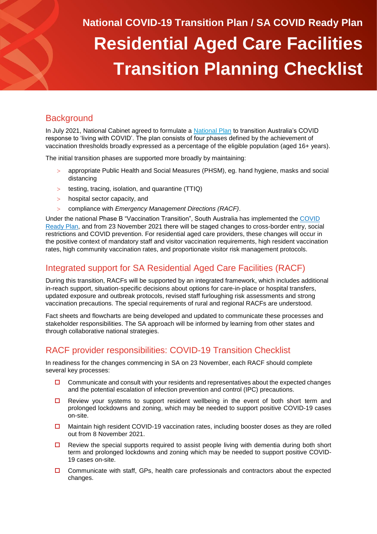# **National COVID-19 Transition Plan / SA COVID Ready Plan Residential Aged Care Facilities Transition Planning Checklist**

### **Background**

In July 2021, National Cabinet agreed to formulate a [National Plan](https://www.pm.gov.au/sites/default/files/media/national-plan-to-transition-australias-national-covid-19-response-30-july-2021.pdf) to transition Australia's COVID response to 'living with COVID'. The plan consists of four phases defined by the achievement of vaccination thresholds broadly expressed as a percentage of the eligible population (aged 16+ years).

The initial transition phases are supported more broadly by maintaining:

- appropriate Public Health and Social Measures (PHSM), eg. hand hygiene, masks and social distancing
- $>$  testing, tracing, isolation, and quarantine (TTIQ)
- > hospital sector capacity, and
- compliance with *Emergency Management Directions (RACF)*.

Under the national Phase B "Vaccination Transition", South Australia has implemented the [COVID](https://www.covid-19.sa.gov.au/__data/assets/pdf_file/0008/526292/COVID-Ready-Plan-A3-031121.pdf)  [Ready Plan,](https://www.covid-19.sa.gov.au/__data/assets/pdf_file/0008/526292/COVID-Ready-Plan-A3-031121.pdf) and from 23 November 2021 there will be staged changes to cross-border entry, social restrictions and COVID prevention. For residential aged care providers, these changes will occur in the positive context of mandatory staff and visitor vaccination requirements, high resident vaccination rates, high community vaccination rates, and proportionate visitor risk management protocols.

### Integrated support for SA Residential Aged Care Facilities (RACF)

During this transition, RACFs will be supported by an integrated framework, which includes additional in-reach support, situation-specific decisions about options for care-in-place or hospital transfers, updated exposure and outbreak protocols, revised staff furloughing risk assessments and strong vaccination precautions. The special requirements of rural and regional RACFs are understood.

Fact sheets and flowcharts are being developed and updated to communicate these processes and stakeholder responsibilities. The SA approach will be informed by learning from other states and through collaborative national strategies.

### RACF provider responsibilities: COVID-19 Transition Checklist

In readiness for the changes commencing in SA on 23 November, each RACF should complete several key processes:

- $\Box$  Communicate and consult with your residents and representatives about the expected changes and the potential escalation of infection prevention and control (IPC) precautions.
- $\Box$  Review your systems to support resident wellbeing in the event of both short term and prolonged lockdowns and zoning, which may be needed to support positive COVID-19 cases on-site.
- $\Box$  Maintain high resident COVID-19 vaccination rates, including booster doses as they are rolled out from 8 November 2021.
- $\Box$  Review the special supports required to assist people living with dementia during both short term and prolonged lockdowns and zoning which may be needed to support positive COVID-19 cases on-site.
- $\Box$  Communicate with staff, GPs, health care professionals and contractors about the expected changes.